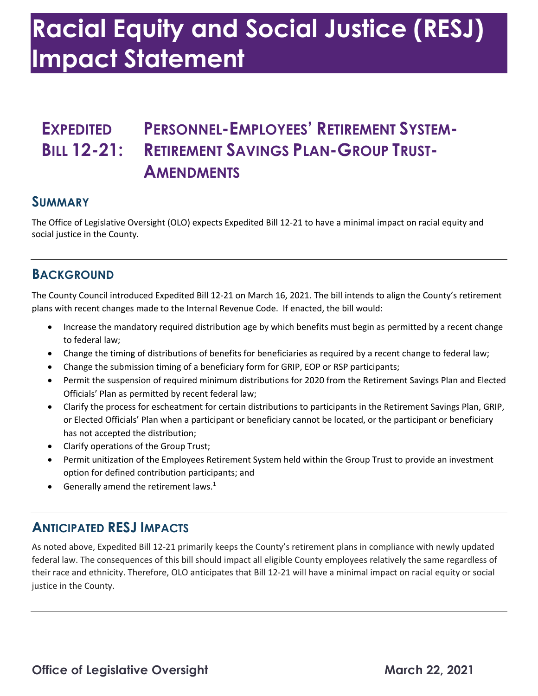# **Racial Equity and Social Justice (RESJ) Impact Statement**

## **EXPEDITED PERSONNEL-EMPLOYEES' RETIREMENT SYSTEM-**BILL 12-21: RETIREMENT SAVINGS PLAN-GROUP TRUST-**AMENDMENTS**

#### **SUMMARY**

 The Office of Legislative Oversight (OLO) expects Expedited Bill 12-21 to have a minimal impact on racial equity and social justice in the County.

#### **BACKGROUND**

 The County Council introduced Expedited Bill 12-21 on March 16, 2021. The bill intends to align the County's retirement plans with recent changes made to the Internal Revenue Code. If enacted, the bill would:

- Increase the mandatory required distribution age by which benefits must begin as permitted by a recent change to federal law;
- Change the timing of distributions of benefits for beneficiaries as required by a recent change to federal law;
- Change the submission timing of a beneficiary form for GRIP, EOP or RSP participants;
- • Permit the suspension of required minimum distributions for 2020 from the Retirement Savings Plan and Elected Officials' Plan as permitted by recent federal law;
- Clarify the process for escheatment for certain distributions to participants in the Retirement Savings Plan, GRIP, or Elected Officials' Plan when a participant or beneficiary cannot be located, or the participant or beneficiary has not accepted the distribution;
- Clarify operations of the Group Trust;
- • Permit unitization of the Employees Retirement System held within the Group Trust to provide an investment option for defined contribution participants; and
- $\bullet$  Generally amend the retirement laws.<sup>1</sup>

#### **ANTICIPATED RESJ IMPACTS**

 As noted above, Expedited Bill 12-21 primarily keeps the County's retirement plans in compliance with newly updated federal law. The consequences of this bill should impact all eligible County employees relatively the same regardless of their race and ethnicity. Therefore, OLO anticipates that Bill 12-21 will have a minimal impact on racial equity or social justice in the County.